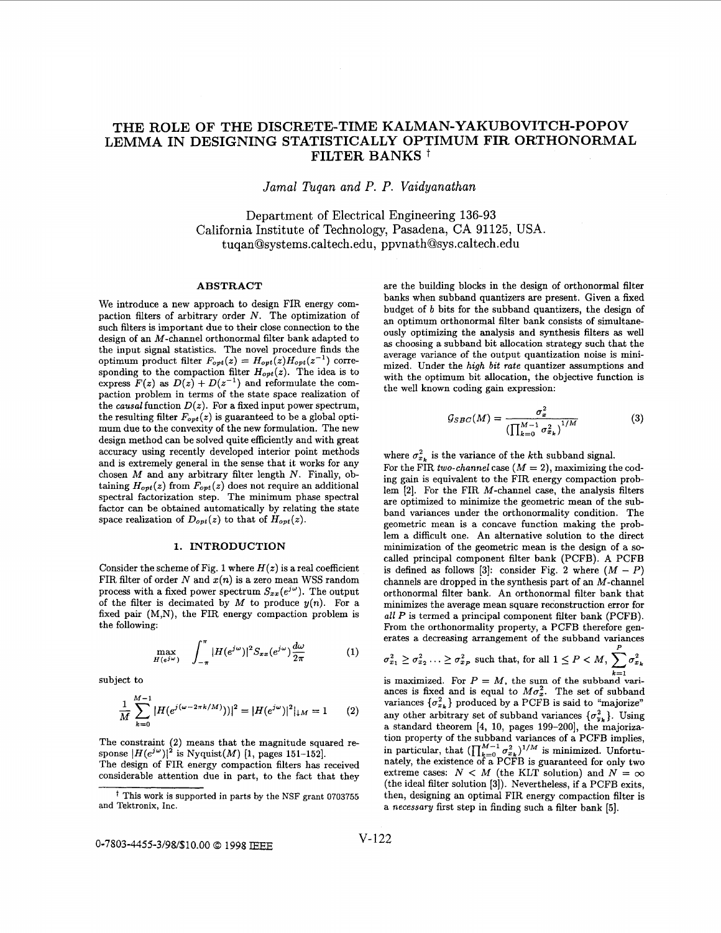# **THE ROLE OF THE DISCRETE-TIME KALMAN-YAKUBOVITCH-POPOV LEMMA IN DESIGNING STATISTICALLY OPTIMUM FIR ORTHONORMAL FILTER BANKS** t

*Jamal Tuqan and P. P. Vaidyanathan* 

Department of Electrical Engineering **136-93**  California Institute of Technology, Pasadena, CA 91125, USA. tuqan@systems.caltech.edu, ppvnath@sys.caltech.edu

#### **ABSTRACT**

We introduce a new approach to design FIR energy compaction filters of arbitrary order *N.* The optimization of such filters is important due to their close connection to the design of an M-channel orthonormal filter bank adapted to the input signal statistics. The novel procedure finds the optimum product filter  $F_{opt}(z) = H_{opt}(z)H_{opt}(z^{-1})$  corresponding to the compaction filter *Hopt(z).* The idea is to express  $F(z)$  as  $D(z) + D(z^{-1})$  and reformulate the compaction problem in terms of the state space realization of the *causal* function  $D(z)$ . For a fixed input power spectrum, the resulting filter  $F_{opt}(z)$  is guaranteed to be a global optimum due to the convexity of the new formulation. The new design method can be solved quite efficiently and with great accuracy using recently developed interior point methods and is extremely general in the sense that it works for any chosen *M* and any arbitrary filter length *N.* Finally, obtaining  $H_{opt}(z)$  from  $F_{opt}(z)$  does not require an additional spectral factorization step. The minimum phase spectral factor can be obtained automatically by relating the state space realization of  $D_{opt}(z)$  to that of  $H_{opt}(z)$ .

# **1. INTRODUCTION**

Consider the scheme of Fig. 1 where  $H(z)$  is a real coefficient FIR filter of order *N* and *z(n)* is a zero mean WSS random process with a fixed power spectrum  $S_{xx}(e^{j\omega})$ . The output of the filter is decimated by  $M$  to produce  $y(n)$ . For a fixed pair (M,N), the FIR energy compaction problem is the following:

$$
\max_{H(e^{j\omega})} \quad \int_{-\pi}^{\pi} |H(e^{j\omega})|^2 S_{xx}(e^{j\omega}) \frac{d\omega}{2\pi} \tag{1}
$$

subject to

$$
\frac{1}{M} \sum_{k=0}^{M-1} |H(e^{j(\omega - 2\pi k/M)})|^{2} = |H(e^{j\omega})|^{2}|_{\downarrow M} = 1
$$
 (2)

The constraint **(2)** means that the magnitude squared response  $|H(e^{j\omega})|^2$  is Nyquist(*M*) [1, pages 151-152].

are the building blocks in the design of orthonormal filter banks when subband quantizers are present. Given a fixed budget of *b* bits for the subband quantizers, the design of an optimum orthonormal filter bank consists of simultaneously optimizing the analysis and synthesis filters **as** well **as** choosing a subband bit allocation strategy such that the average variance of the output quantization noise is minimized. Under the high *bit* rate quantizer assumptions and with the optimum bit allocation, the objective function is the well known coding gain expression:

$$
G_{SBC}(M) = \frac{\sigma_x^2}{\left(\prod_{k=0}^{M-1} \sigma_{x_k}^2\right)^{1/M}}\tag{3}
$$

where  $\sigma_{x_k}^2$  is the variance of the *k*th subband signal.

For the FIR two-channel case  $(M = 2)$ , maximizing the coding gain is equivalent to the FIR energy compaction problem **[2].** For the FIR M-channel case, the analysis filters are optimized to minimize the geometric mean of the subband variances under the orthonormality condition. The geometric mean is a concave function making the problem a difficult one. An alternative solution to the direct minimization of the geometric mean is the design of a socalled principal component filter bank (PCFB). A PCFB is defined as follows [3]: consider Fig. 2 where  $(M - P)$ channels are dropped in the synthesis part of **an** M-channel Orthonormal filter bank. An orthonormal filter bank that minimizes the average mean square reconstruction error for all P is termed a principal component filter bank (PCFB). From the orthonormality property, a PCFB therefore generates a decreasing arrangement of the subband variances

$$
\sigma_{x_1}^2 \geq \sigma_{x_2}^2 \ldots \geq \sigma_{x_P}^2
$$
 such that, for all  $1 \leq P < M$ ,  $\sum_{k=1}^P \sigma_{x_k}^2$ 

is maximized. For  $P = M$ , the sum of the subband variances is fixed and is equal to  $M\sigma_x^2$ . The set of subband variances  $\{\sigma_{x_k}^2\}$  produced by a PCFB is said to "majorize" any other arbitrary set of subband variances  $\{\sigma_{y_k}^2\}$ . Using a standard theorem **[4, 10,** pages **199-2001,** the majorization property of the subband variances of a PCFB implies, in particular, that  $(\prod_{k=0}^{M-1} \sigma_{x_k}^2)^{1/M}$  is minimized. Unfortunately, the existence of a PCFB is guaranteed for only two extreme cases:  $N < M$  (the KLT solution) and  $N = \infty$ (the ideal filter solution **[3]).** Nevertheless, if a PCFB exits, then, designing an optimal FIR energy compaction filter is a necessary first step in finding such a filter bank *[5].* 

The design of FIR energy compaction filters has received considerable attention due in part, to the fact that they

*t* This work is supported in parts **by** the NSF **grant** 0703755 and Tektronix. **Inc.**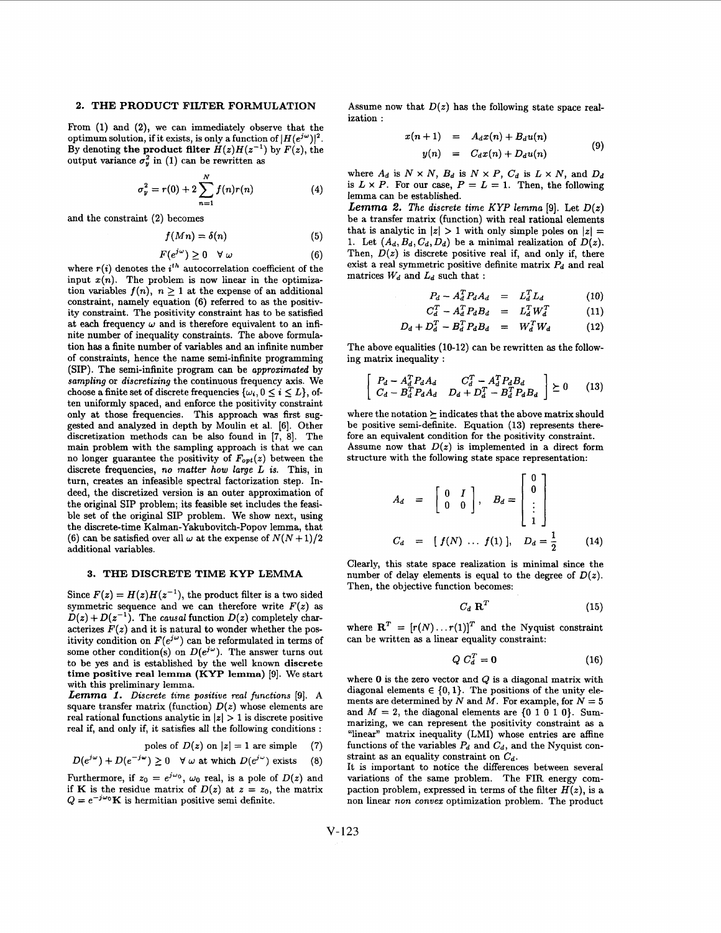## **2. THE PRODUCT FILTER FORMULATION**

From **(1)** and **(2),** we cau immediately observe that the optimum solution, if it exists, is only a function of  $|H(e^{j\omega})|^2$ . By denoting the product filter  $H(z)H(z^{-1})$  by  $F(z)$ , the output variance  $\sigma_y^2$  in (1) can be rewritten as

$$
\sigma_{y}^{2} = r(0) + 2 \sum_{n=1}^{N} f(n)r(n)
$$
 (4)

and the constraint **(2)** becomes

$$
f(Mn) = \delta(n) \tag{5}
$$

$$
F(e^{j\omega}) \ge 0 \quad \forall \ \omega \tag{6}
$$

where  $r(i)$  denotes the  $i^{th}$  autocorrelation coefficient of the input  $x(n)$ . The problem is now linear in the optimization variables  $f(n)$ ,  $n \geq 1$  at the expense of an additional constraint, namely equation (6) referred to **as** the positivity constraint. The positivity constraint has to be satisfied at each frequency  $\omega$  and is therefore equivalent to an infinite number of inequality constraints. The above formulation has a finite number of variables and an infinite number of constraints, hence the name semi-infinite programming (SIP). The semi-infinite program can be *approzimated* by *sampling* or *discretizing* the continuous frequency axis. We choose a finite set of discrete frequencies  $\{\omega_i, 0 \le i \le L\}$ , often uniformly spaced, and enforce the positivity constraint only at those frequencies. This approach was first suggested and analyzed in depth by Moulin et al. [6]. Other discretization methods can be also found in **[7,** 81. The main problem with the sampling approach is that we can no longer guarantee the positivity of *Fopt(z)* between the discrete frequencies, **no** *matter* how *large L is.* This, in turn, creates **an** infeasible spectral factorization step. Indeed, the discretized version is an outer approximation of the original SIP problem; its feasible set includes the feasible set of the original SIP problem. We show next, using the discrete-time Kalman-Yakubovitch-Popov lemma, that (6) can be satisfied over all  $\omega$  at the expense of  $N(N+1)/2$ additional variables.

#### **3. THE DISCREPE TIME KYP LEMMA**

Since  $F(z) = H(z)H(z^{-1})$ , the product filter is a two sided symmetric sequence and we can therefore write  $F(z)$  as  $D(z) + D(z^{-1})$ . The *causal* function  $D(z)$  completely characterizes  $F(z)$  and it is natural to wonder whether the positivity condition on  $F(e^{j\omega})$  can be reformulated in terms of some other condition(s) on  $D(e^{j\omega})$ . The answer turns out to be yes and is established by the well known discrete time positive real lemma (KYP lemma) **[9].** We start with this preliminary lemma.

Lemma 1. Discrete time positive real functions [9]. A square transfer matrix (function)  $D(z)$  whose elements are real rational functions analytic in  $|z| > 1$  is discrete positive real if, and only if, it satisfies all the following conditions :

poles of 
$$
D(z)
$$
 on  $|z| = 1$  are simple (7)

$$
D(e^{j\omega}) + D(e^{-j\omega}) \ge 0 \quad \forall \omega \text{ at which } D(e^{j\omega}) \text{ exists} \quad (8)
$$

Furthermore, if  $z_0 = e^{j\omega_0}$ ,  $\omega_0$  real, is a pole of  $D(z)$  and if **K** is the residue matrix of  $D(z)$  at  $z = z_0$ , the matrix  $Q = e^{-j\omega_0}$ K is hermitian positive semi definite.

Assume now that  $D(z)$  has the following state space realization :

$$
x(n+1) = A_d x(n) + B_d u(n)
$$
  

$$
y(n) = C_d x(n) + D_d u(n)
$$
 (9)

where  $A_d$  is  $N \times N$ ,  $B_d$  is  $N \times P$ ,  $C_d$  is  $L \times N$ , and  $D_d$ is  $L \times P$ . For our case,  $P = L = 1$ . Then, the following lemma can be established.

*Lemma 2. The discrete time KYP lemma* [9]. Let  $D(z)$ be a transfer matrix (function) with real rational elements that is analytic in  $|z| > 1$  with only simple poles on  $|z| =$ 1. Let  $(A_d, B_d, C_d, D_d)$  be a minimal realization of  $D(z)$ . Then,  $D(z)$  is discrete positive real if, and only if, there exist a real symmetric positive definite matrix *Pd* and real matrices  $W_d$  and  $L_d$  such that :

$$
P_d - A_d^T P_d A_d = L_d^T L_d \qquad (10)
$$

$$
C_d^T - A_d^T P_d B_d = L_d^T W_d^T \qquad (11)
$$

$$
D_d + D_d^T - B_d^T P_d B_d = W_d^T W_d \qquad (12)
$$

The above equalities **(10-12)** can be rewritten **as** the following matrix inequality :

above equalities (10-12) can be rewritten as the following matrix inequality:

\n
$$
\begin{bmatrix}\nP_d - A_d^T P_d A_d & C_d^T - A_d^T P_d B_d \\
C_d - B_d^T P_d A_d & D_d + D_d^T - B_d^T P_d B_d\n\end{bmatrix} \succeq 0 \tag{13}
$$

where the notation  $\succeq$  indicates that the above matrix should be positive semi-definite. Equation **(13)** represents therefore an equivalent condition for the positivity constraint. Assume now that  $D(z)$  is implemented in a direct form structure with the following state space representation:

$$
A_d = \begin{bmatrix} 0 & I \\ 0 & 0 \end{bmatrix}, B_d = \begin{bmatrix} 0 \\ 0 \\ \vdots \\ 1 \end{bmatrix}
$$
  

$$
C_d = [f(N) \dots f(1)], D_d = \frac{1}{2}
$$
 (14)

Clearly, this state space realization is minimal since the number of delay elements is equal to the degree of  $D(z)$ . Then, the objective function becomes:

$$
C_d \ \mathbf{R}^T \tag{15}
$$

where  $\mathbf{R}^T = [r(N) \dots r(1)]^T$  and the Nyquist constraint can be written **as** a linear equality constraint:

$$
Q C_d^T = 0 \tag{16}
$$

where *0* is the zero vector and Q is a diagonal matrix with diagonal elements  $\in \{0,1\}$ . The positions of the unity elements are determined by N and M. For example, for  $N = 5$ and  $M = 2$ , the diagonal elements are  $\{0 1 0 1 0\}$ . Summarizing, we can represent the positivity constraint **as** a "linear" matrix inequality (LMI) whose entries are affine functions of the variables  $P_d$  and  $C_d$ , and the Nyquist constraint as an equality constraint on  $C_d$ .

It is important to notice the differences between several variations of the same problem. The FIR energy compaction problem, expressed in terms of the filter  $H(z)$ , is a non linear *non conwez* optimization problem. The product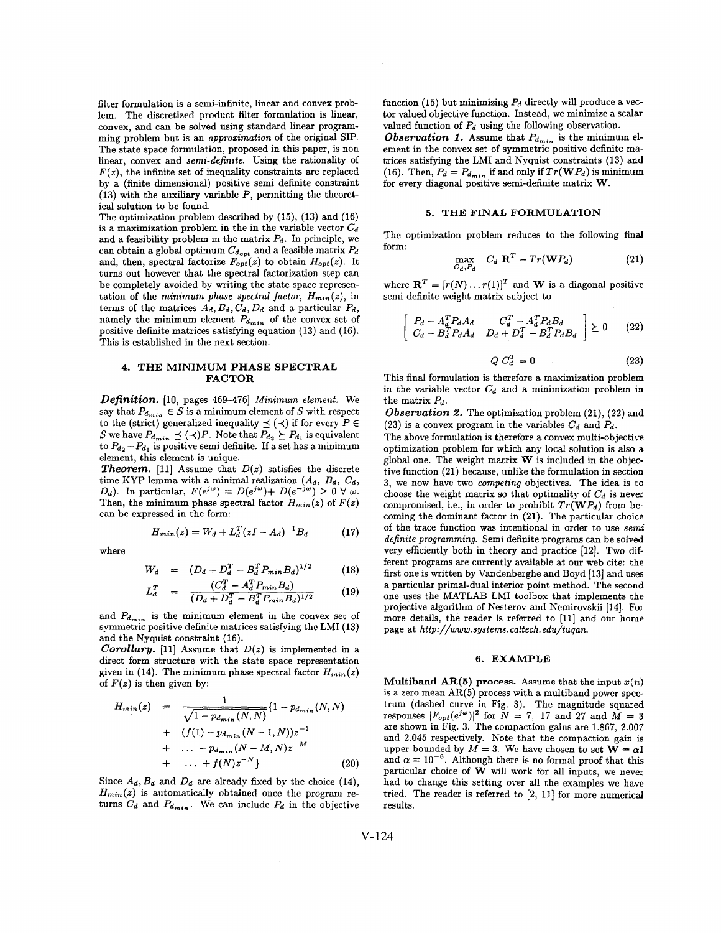filter formulation is a semi-infinite, linear and convex problem. The discretized product filter formulation is linear, convex, and can be solved using standard linear programming problem but is an *approximation* of the original SIP. The state space formulation, proposed in this paper, is non linear, convex and *semi-definite.* Using the rationality of  $F(z)$ , the infinite set of inequality constraints are replaced by a (finite dimensional) positive semi definite constraint **(13)** with the auxiliary variable *P,* permitting the theoretical solution to be found.

The optimization problem described by **(15), (13)** and **(16)**  is a maximization problem in the in the variable vector  $C_d$ and a feasibility problem in the matrix  $P_d$ . In principle, we can obtain a global optimum  $C_{d_{opt}}$  and a feasible matrix  $P_d$ and, then, spectral factorize  $F_{opt}(z)$  to obtain  $H_{opt}(z)$ . It turns out however that the spectral factorization step can be completely avoided by writing the state space representation of the *minimum phase spectral factor, Hmjn(z),* in terms of the matrices  $A_d$ ,  $B_d$ ,  $C_d$ ,  $D_d$  and a particular  $P_d$ , namely the minimum element  $P_{d_{min}}$  of the convex set of positive definite matrices satisfying equation **(13)** and **(16).**  This is established in the next section.

#### **4. THE MINIMUM PHASE SPECTRAL FACTOR**

*Definition.* **[IO,** pages **469-4761** *Minimum element.* We say that  $P_{d_{min}} \in S$  is a minimum element of  $S$  with respect to the (strict) generalized inequality  $\preceq (\prec)$  if for every  $P \in$ S we have  $P_{d_{min}} \leq (\prec)P$ . Note that  $P_{d_2} \succeq P_{d_1}$  is equivalent to  $P_{d_2}-P_{d_1}$  is positive semi definite. If a set has a minimum element, this element is unique.

**Theorem.** [11] Assume that  $D(z)$  satisfies the discrete time KYP lemma with a minimal realization  $(A_d, B_d, C_d, \bar{B}_d)$ Then, the minimum phase spectral factor  $H_{min}(z)$  of  $F(z)$ can be expressed in the form: *Dd).* In particular,  $F(e^{j\omega}) = D(e^{j\omega}) + D(e^{-j\omega}) \ge 0 \forall \omega$ .

$$
H_{min}(z) = W_d + L_d^T (zI - A_d)^{-1} B_d \tag{17}
$$

where

$$
W_d = (D_d + D_d^T - B_d^T P_{min} B_d)^{1/2}
$$
 (18)

$$
L_d^T = \frac{(C_d^T - A_d^T P_{min} B_d)}{(D_d + D_d^T - B_d^T P_{min} B_d)^{1/2}} \tag{19}
$$

and  $P_{d_{min}}$  is the minimum element in the convex set of symmetric positive definite matrices satisfying the LMI **(13)**  and the Nyquist constraint **(16).** 

*Corollary.* [11] Assume that  $D(z)$  is implemented in a direct form structure with the state space representation given in (14). The minimum phase spectral factor  $H_{min}(z)$ of  $F(z)$  is then given by:

$$
H_{min}(z) = \frac{1}{\sqrt{1 - p_{d_{min}}(N, N)}} \{1 - p_{d_{min}}(N, N) + (f(1) - p_{d_{min}}(N - 1, N))z^{-1} + \dots - p_{d_{min}}(N - M, N)z^{-M} + \dots + f(N)z^{-N}\}
$$
(20)

Since  $A_d$ ,  $B_d$  and  $D_d$  are already fixed by the choice (14),  $H_{min}(z)$  is automatically obtained once the program returns  $C_d$  and  $P_{d_{min}}$ . We can include  $P_d$  in the objective function  $(15)$  but minimizing  $P_d$  directly will produce a vector valued objective function. Instead, we minimize a scalar valued function of *Pd* using the following observation.

*Observation 1.* Assume that  $P_{d_{min}}$  is the minimum element in the convex set of symmetric positive definite matrices satisfying the LMI and Nyquist constraints **(13)** and (16). Then,  $P_d = P_{d_{min}}$  if and only if  $Tr(\mathbf{W}P_d)$  is minimum for every diagonal positive semi-definite matrix **W.** 

# **5. THE FINAL FORMULATION**

The optimization problem reduces to the following final form:

$$
\max_{C_d, P_d} C_d \mathbf{R}^T - Tr(\mathbf{W} P_d) \tag{21}
$$

where  $\mathbf{R}^T = [r(N) \dots r(1)]^T$  and **W** is a diagonal positive semi definite weight matrix subject to

$$
\begin{bmatrix}\nP_d - A_d^T P_d A_d & C_d^T - A_d^T P_d B_d \\
C_d - B_d^T P_d A_d & D_d + D_d^T - B_d^T P_d B_d\n\end{bmatrix} \succeq 0 \tag{22}
$$

$$
Q C_d^T = \mathbf{0} \tag{23}
$$

This final formulation is therefore a maximization problem in the variable vector  $C_d$  and a minimization problem in the matrix *Pd.* 

*Observation 2.* The optimization problem **(21), (22)** and  $(23)$  is a convex program in the variables  $C_d$  and  $P_d$ .

The above formulation is therefore a convex multi-objective optimization problem for which any local solution is also a global one. The weight matrix *W* is included in the objective function **(21)** because, unlike the formulation in section **3,** we now have two *competing* objectives. The idea is to choose the weight matrix so that optimality of  $C_d$  is never compromised, i.e., in order to prohibit  $Tr(\mathbf{W}P_d)$  from becoming the dominant factor in **(21).** The particular choice of the trace function was intentional in order to use *semi definite programming.* Semi definite programs can be solved very efficiently both in theory and practice **[12].** Two different programs are currently available at our web cite: the first one is written by Vandenberghe and Boyd **[13]** and uses a particular primal-dual interior point method. The second one uses the **MATLAB LMI** toolbox that implements the projective algorithm of Nesterov and Nemirovskii **[14].** For more details, the reader is referred to **[ll]** and our home page at *[http://www.systems.](http://www.systems) caltech. edu/tuqan.* 

#### **6. EXAMPLE**

**Multiband AR(5) process.** Assume that the input  $x(n)$ is a zero mean **AR(5)** process with a multiband power spectrum (dashed curve in Fig. **3).** The magnitude squared responses  $|F_{opt}(e^{j\omega})|^2$  for  $N = 7$ , 17 and 27 and  $M = 3$ are shown in Fig. **3.** The compaction gains are **1.867, 2.007**  and **2.045** respectively. Note that the compaction gain is upper bounded by  $M = 3$ . We have chosen to set  $W = \alpha I$ and  $\alpha = 10^{-6}$ . Although there is no formal proof that this particular choice of *W* will work for all inputs, we never had to change this setting over all the examples we have tried. The reader is referred to **[2, 111** for more numerical results.